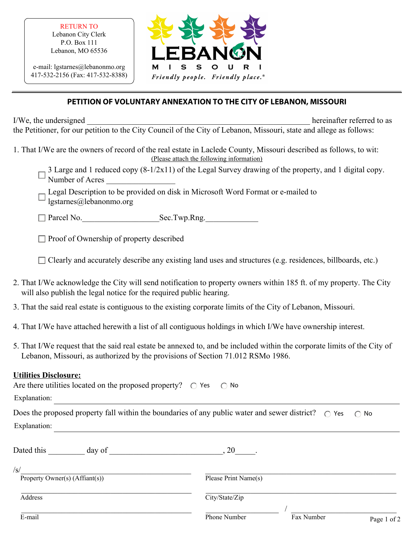RETURN TO Lebanon City Clerk P.O. Box 111 Lebanon, MO 65536

e-mail: lgstarnes@lebanonmo.org 417-532-2156 (Fax: 417-532-8388)



## **PETITION OF VOLUNTARY ANNEXATION TO THE CITY OF LEBANON, MISSOURI**

I/We, the undersigned to as a set of the undersigned to as a set of the undersigned to as a set of the undersident of the understanding  $\mu$ the Petitioner, for our petition to the City Council of the City of Lebanon, Missouri, state and allege as follows:

- 1. That I/We are the owners of record of the real estate in Laclede County, Missouri described as follows, to wit: (Please attach the following information)
	- ĺ 3 Large and 1 reduced copy  $(8-1/2x11)$  of the Legal Survey drawing of the property, and 1 digital copy. Number of Acres \_\_\_\_\_\_\_\_\_\_\_\_\_\_\_\_\_
	- Legal Description to be provided on disk in Microsoft Word Format or e-mailed to lgstarnes@lebanonmo.org

 Parcel No.\_\_\_\_\_\_\_\_\_\_\_\_\_\_\_\_\_\_\_Sec.Twp.Rng.\_\_\_\_\_\_\_\_\_\_\_\_\_ ֪ׅ֚֬֝֬֝֬֝֬֝֬֝

 $\Box$  Proof of Ownership of property described

Clearly and accurately describe any existing land uses and structures (e.g. residences, billboards, etc.)

- 2. That I/We acknowledge the City will send notification to property owners within 185 ft. of my property. The City will also publish the legal notice for the required public hearing.
- 3. That the said real estate is contiguous to the existing corporate limits of the City of Lebanon, Missouri.
- 4. That I/We have attached herewith a list of all contiguous holdings in which I/We have ownership interest.
- 5. That I/We request that the said real estate be annexed to, and be included within the corporate limits of the City of Lebanon, Missouri, as authorized by the provisions of Section 71.012 RSMo 1986.

## **Utilities Disclosure:**

| Are there utilities located on the proposed property? $\circ$ Yes $\circ$ No                                 |                                           |
|--------------------------------------------------------------------------------------------------------------|-------------------------------------------|
| Explanation:                                                                                                 |                                           |
| Does the proposed property fall within the boundaries of any public water and sewer district? $\bigcirc$ Yes | $\bigcap$ No                              |
| Explanation:                                                                                                 |                                           |
| Dated this<br>day of                                                                                         | 20                                        |
| $\sqrt{s}$<br>Property Owner(s) (Affiant(s))                                                                 | Please Print Name(s)                      |
| Address                                                                                                      | City/State/Zip                            |
| E-mail                                                                                                       | Fax Number<br>Phone Number<br>Page 1 of 2 |